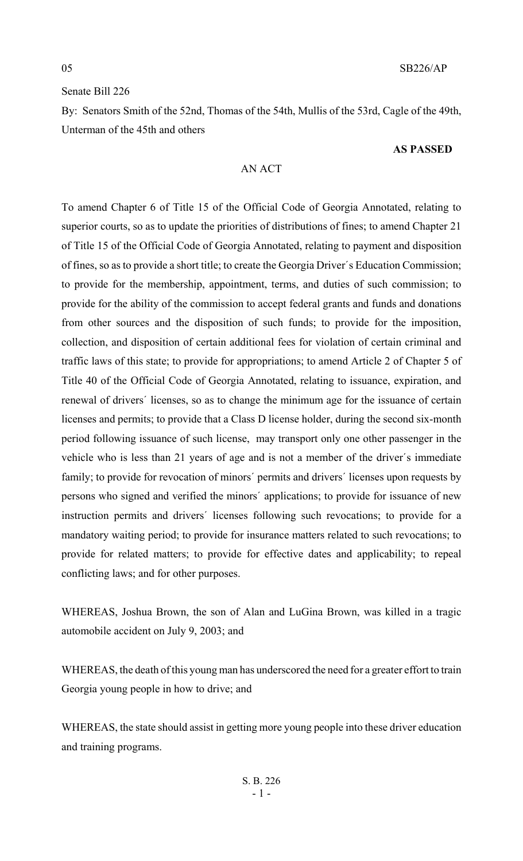# Senate Bill 226

By: Senators Smith of the 52nd, Thomas of the 54th, Mullis of the 53rd, Cagle of the 49th, Unterman of the 45th and others

#### **AS PASSED**

# AN ACT

To amend Chapter 6 of Title 15 of the Official Code of Georgia Annotated, relating to superior courts, so as to update the priorities of distributions of fines; to amend Chapter 21 of Title 15 of the Official Code of Georgia Annotated, relating to payment and disposition of fines, so as to provide a short title; to create the Georgia Driver's Education Commission; to provide for the membership, appointment, terms, and duties of such commission; to provide for the ability of the commission to accept federal grants and funds and donations from other sources and the disposition of such funds; to provide for the imposition, collection, and disposition of certain additional fees for violation of certain criminal and traffic laws of this state; to provide for appropriations; to amend Article 2 of Chapter 5 of Title 40 of the Official Code of Georgia Annotated, relating to issuance, expiration, and renewal of drivers' licenses, so as to change the minimum age for the issuance of certain licenses and permits; to provide that a Class D license holder, during the second six-month period following issuance of such license, may transport only one other passenger in the vehicle who is less than 21 years of age and is not a member of the driver's immediate family; to provide for revocation of minors' permits and drivers' licenses upon requests by persons who signed and verified the minors' applications; to provide for issuance of new instruction permits and drivers' licenses following such revocations; to provide for a mandatory waiting period; to provide for insurance matters related to such revocations; to provide for related matters; to provide for effective dates and applicability; to repeal conflicting laws; and for other purposes.

WHEREAS, Joshua Brown, the son of Alan and LuGina Brown, was killed in a tragic automobile accident on July 9, 2003; and

WHEREAS, the death of this young man has underscored the need for a greater effort to train Georgia young people in how to drive; and

WHEREAS, the state should assist in getting more young people into these driver education and training programs.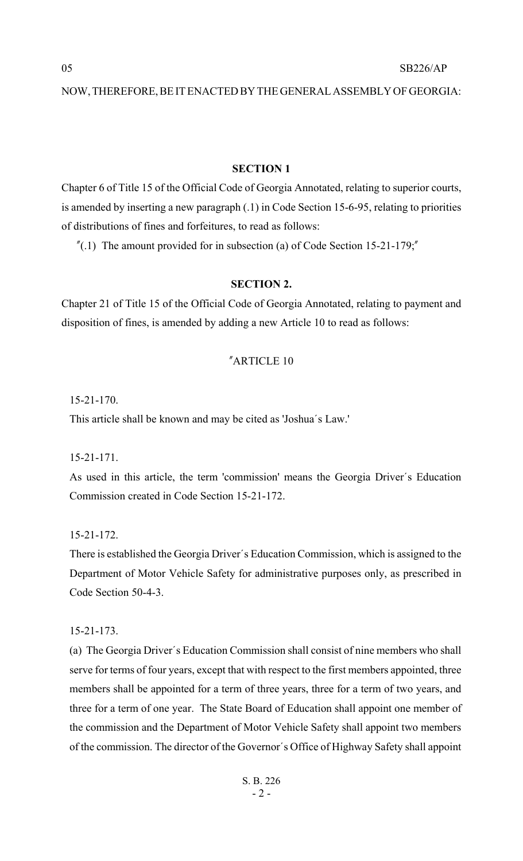# **SECTION 1**

Chapter 6 of Title 15 of the Official Code of Georgia Annotated, relating to superior courts, is amended by inserting a new paragraph (.1) in Code Section 15-6-95, relating to priorities of distributions of fines and forfeitures, to read as follows:

 $^{\prime\prime}$ (.1) The amount provided for in subsection (a) of Code Section 15-21-179;

#### **SECTION 2.**

Chapter 21 of Title 15 of the Official Code of Georgia Annotated, relating to payment and disposition of fines, is amended by adding a new Article 10 to read as follows:

# "ARTICLE 10

15-21-170.

This article shall be known and may be cited as 'Joshua's Law.'

15-21-171.

As used in this article, the term 'commission' means the Georgia Driver's Education Commission created in Code Section 15-21-172.

15-21-172.

There is established the Georgia Driver's Education Commission, which is assigned to the Department of Motor Vehicle Safety for administrative purposes only, as prescribed in Code Section 50-4-3.

15-21-173.

(a) The Georgia Driver's Education Commission shall consist of nine members who shall serve for terms of four years, except that with respect to the first members appointed, three members shall be appointed for a term of three years, three for a term of two years, and three for a term of one year. The State Board of Education shall appoint one member of the commission and the Department of Motor Vehicle Safety shall appoint two members of the commission. The director of the Governor's Office of Highway Safety shall appoint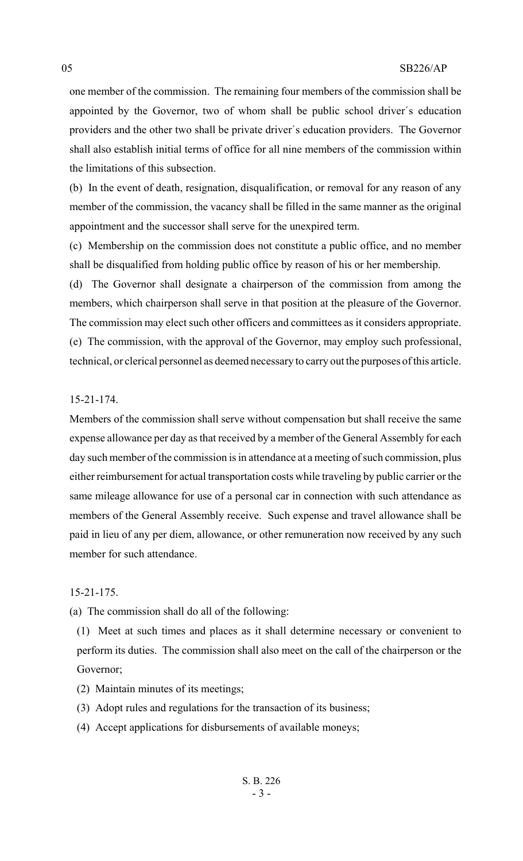one member of the commission. The remaining four members of the commission shall be appointed by the Governor, two of whom shall be public school driver's education providers and the other two shall be private driver's education providers. The Governor shall also establish initial terms of office for all nine members of the commission within the limitations of this subsection.

(b) In the event of death, resignation, disqualification, or removal for any reason of any member of the commission, the vacancy shall be filled in the same manner as the original appointment and the successor shall serve for the unexpired term.

(c) Membership on the commission does not constitute a public office, and no member shall be disqualified from holding public office by reason of his or her membership.

(d) The Governor shall designate a chairperson of the commission from among the members, which chairperson shall serve in that position at the pleasure of the Governor. The commission may elect such other officers and committees as it considers appropriate. (e) The commission, with the approval of the Governor, may employ such professional, technical, or clerical personnel as deemed necessary to carry out the purposes of this article.

#### 15-21-174.

Members of the commission shall serve without compensation but shall receive the same expense allowance per day as that received by a member of the General Assembly for each day such member of the commission is in attendance at a meeting of such commission, plus either reimbursement for actual transportation costs while traveling by public carrier or the same mileage allowance for use of a personal car in connection with such attendance as members of the General Assembly receive. Such expense and travel allowance shall be paid in lieu of any per diem, allowance, or other remuneration now received by any such member for such attendance.

15-21-175.

(a) The commission shall do all of the following:

(1) Meet at such times and places as it shall determine necessary or convenient to perform its duties. The commission shall also meet on the call of the chairperson or the Governor;

- (2) Maintain minutes of its meetings;
- (3) Adopt rules and regulations for the transaction of its business;
- (4) Accept applications for disbursements of available moneys;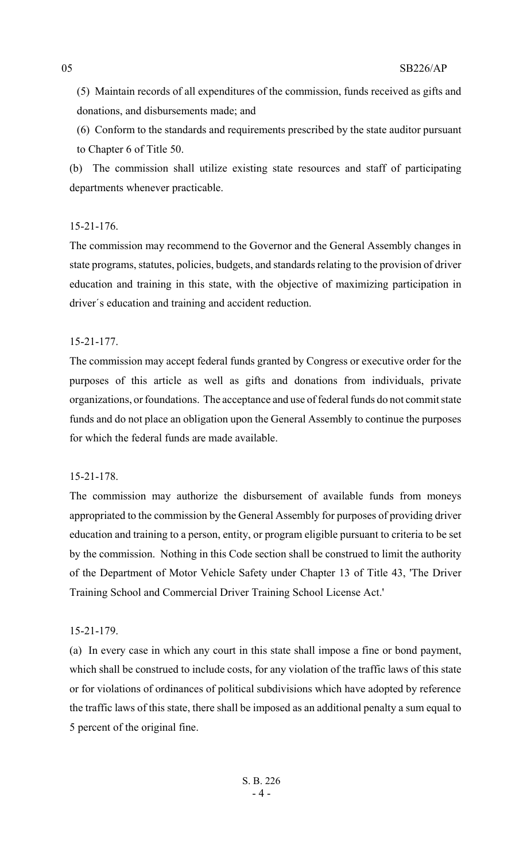(5) Maintain records of all expenditures of the commission, funds received as gifts and donations, and disbursements made; and

(6) Conform to the standards and requirements prescribed by the state auditor pursuant to Chapter 6 of Title 50.

(b) The commission shall utilize existing state resources and staff of participating departments whenever practicable.

# 15-21-176.

The commission may recommend to the Governor and the General Assembly changes in state programs, statutes, policies, budgets, and standards relating to the provision of driver education and training in this state, with the objective of maximizing participation in driver's education and training and accident reduction.

# 15-21-177.

The commission may accept federal funds granted by Congress or executive order for the purposes of this article as well as gifts and donations from individuals, private organizations, or foundations. The acceptance and use of federal funds do not commit state funds and do not place an obligation upon the General Assembly to continue the purposes for which the federal funds are made available.

# 15-21-178.

The commission may authorize the disbursement of available funds from moneys appropriated to the commission by the General Assembly for purposes of providing driver education and training to a person, entity, or program eligible pursuant to criteria to be set by the commission. Nothing in this Code section shall be construed to limit the authority of the Department of Motor Vehicle Safety under Chapter 13 of Title 43, 'The Driver Training School and Commercial Driver Training School License Act.'

# 15-21-179.

(a) In every case in which any court in this state shall impose a fine or bond payment, which shall be construed to include costs, for any violation of the traffic laws of this state or for violations of ordinances of political subdivisions which have adopted by reference the traffic laws of this state, there shall be imposed as an additional penalty a sum equal to 5 percent of the original fine.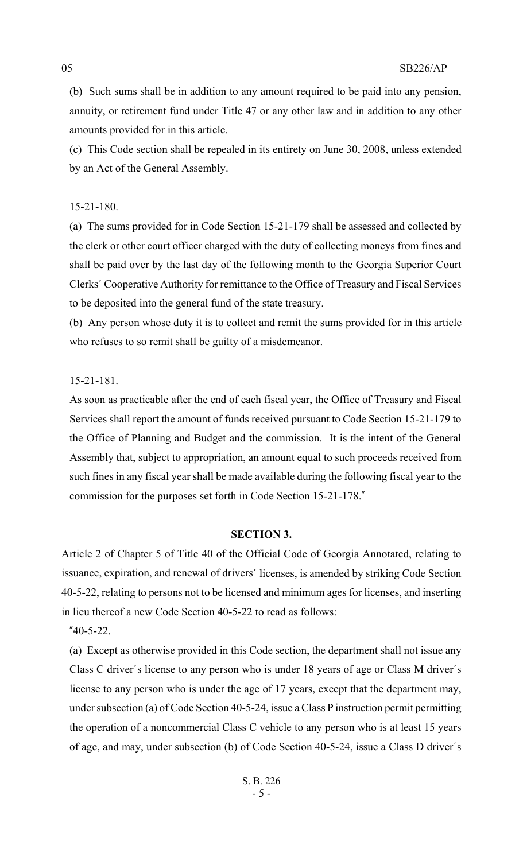(b) Such sums shall be in addition to any amount required to be paid into any pension, annuity, or retirement fund under Title 47 or any other law and in addition to any other amounts provided for in this article.

(c) This Code section shall be repealed in its entirety on June 30, 2008, unless extended by an Act of the General Assembly.

#### 15-21-180.

(a) The sums provided for in Code Section 15-21-179 shall be assessed and collected by the clerk or other court officer charged with the duty of collecting moneys from fines and shall be paid over by the last day of the following month to the Georgia Superior Court Clerks' Cooperative Authority for remittance to the Office of Treasury and Fiscal Services to be deposited into the general fund of the state treasury.

(b) Any person whose duty it is to collect and remit the sums provided for in this article who refuses to so remit shall be guilty of a misdemeanor.

## 15-21-181.

As soon as practicable after the end of each fiscal year, the Office of Treasury and Fiscal Services shall report the amount of funds received pursuant to Code Section 15-21-179 to the Office of Planning and Budget and the commission. It is the intent of the General Assembly that, subject to appropriation, an amount equal to such proceeds received from such fines in any fiscal year shall be made available during the following fiscal year to the commission for the purposes set forth in Code Section 15-21-178."

## **SECTION 3.**

Article 2 of Chapter 5 of Title 40 of the Official Code of Georgia Annotated, relating to issuance, expiration, and renewal of drivers' licenses, is amended by striking Code Section 40-5-22, relating to persons not to be licensed and minimum ages for licenses, and inserting in lieu thereof a new Code Section 40-5-22 to read as follows:

"40-5-22.

(a) Except as otherwise provided in this Code section, the department shall not issue any Class C driver's license to any person who is under 18 years of age or Class M driver's license to any person who is under the age of 17 years, except that the department may, under subsection (a) of Code Section 40-5-24, issue a Class P instruction permit permitting the operation of a noncommercial Class C vehicle to any person who is at least 15 years of age, and may, under subsection (b) of Code Section 40-5-24, issue a Class D driver's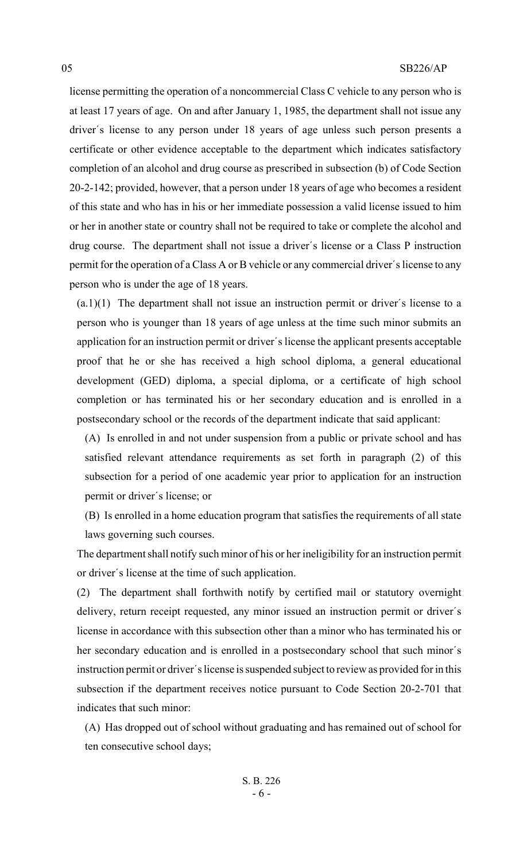license permitting the operation of a noncommercial Class C vehicle to any person who is at least 17 years of age. On and after January 1, 1985, the department shall not issue any driver's license to any person under 18 years of age unless such person presents a certificate or other evidence acceptable to the department which indicates satisfactory completion of an alcohol and drug course as prescribed in subsection (b) of Code Section 20-2-142; provided, however, that a person under 18 years of age who becomes a resident of this state and who has in his or her immediate possession a valid license issued to him or her in another state or country shall not be required to take or complete the alcohol and drug course. The department shall not issue a driver's license or a Class P instruction permit for the operation of a Class A or B vehicle or any commercial driver's license to any person who is under the age of 18 years.

(a.1)(1) The department shall not issue an instruction permit or driver's license to a person who is younger than 18 years of age unless at the time such minor submits an application for an instruction permit or driver's license the applicant presents acceptable proof that he or she has received a high school diploma, a general educational development (GED) diploma, a special diploma, or a certificate of high school completion or has terminated his or her secondary education and is enrolled in a postsecondary school or the records of the department indicate that said applicant:

(A) Is enrolled in and not under suspension from a public or private school and has satisfied relevant attendance requirements as set forth in paragraph (2) of this subsection for a period of one academic year prior to application for an instruction permit or driver's license; or

(B) Is enrolled in a home education program that satisfies the requirements of all state laws governing such courses.

The department shall notify such minor of his or her ineligibility for an instruction permit or driver's license at the time of such application.

(2) The department shall forthwith notify by certified mail or statutory overnight delivery, return receipt requested, any minor issued an instruction permit or driver's license in accordance with this subsection other than a minor who has terminated his or her secondary education and is enrolled in a postsecondary school that such minor's instruction permit or driver's license is suspended subject to review as provided for in this subsection if the department receives notice pursuant to Code Section 20-2-701 that indicates that such minor:

(A) Has dropped out of school without graduating and has remained out of school for ten consecutive school days;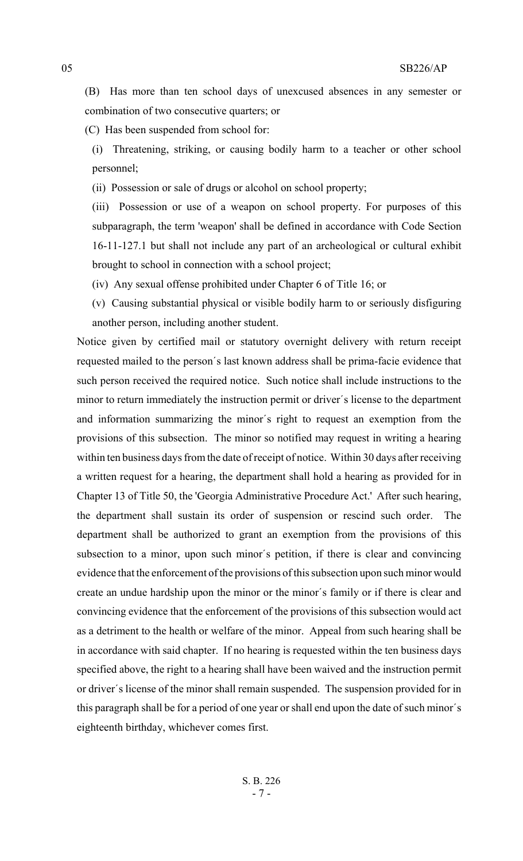(B) Has more than ten school days of unexcused absences in any semester or combination of two consecutive quarters; or

(C) Has been suspended from school for:

(i) Threatening, striking, or causing bodily harm to a teacher or other school personnel;

(ii) Possession or sale of drugs or alcohol on school property;

(iii) Possession or use of a weapon on school property. For purposes of this subparagraph, the term 'weapon' shall be defined in accordance with Code Section 16-11-127.1 but shall not include any part of an archeological or cultural exhibit brought to school in connection with a school project;

(iv) Any sexual offense prohibited under Chapter 6 of Title 16; or

(v) Causing substantial physical or visible bodily harm to or seriously disfiguring another person, including another student.

Notice given by certified mail or statutory overnight delivery with return receipt requested mailed to the person's last known address shall be prima-facie evidence that such person received the required notice. Such notice shall include instructions to the minor to return immediately the instruction permit or driver's license to the department and information summarizing the minor's right to request an exemption from the provisions of this subsection. The minor so notified may request in writing a hearing within ten business days from the date of receipt of notice. Within 30 days after receiving a written request for a hearing, the department shall hold a hearing as provided for in Chapter 13 of Title 50, the 'Georgia Administrative Procedure Act.' After such hearing, the department shall sustain its order of suspension or rescind such order. The department shall be authorized to grant an exemption from the provisions of this subsection to a minor, upon such minor's petition, if there is clear and convincing evidence that the enforcement of the provisions of this subsection upon such minor would create an undue hardship upon the minor or the minor's family or if there is clear and convincing evidence that the enforcement of the provisions of this subsection would act as a detriment to the health or welfare of the minor. Appeal from such hearing shall be in accordance with said chapter. If no hearing is requested within the ten business days specified above, the right to a hearing shall have been waived and the instruction permit or driver's license of the minor shall remain suspended. The suspension provided for in this paragraph shall be for a period of one year or shall end upon the date of such minor's eighteenth birthday, whichever comes first.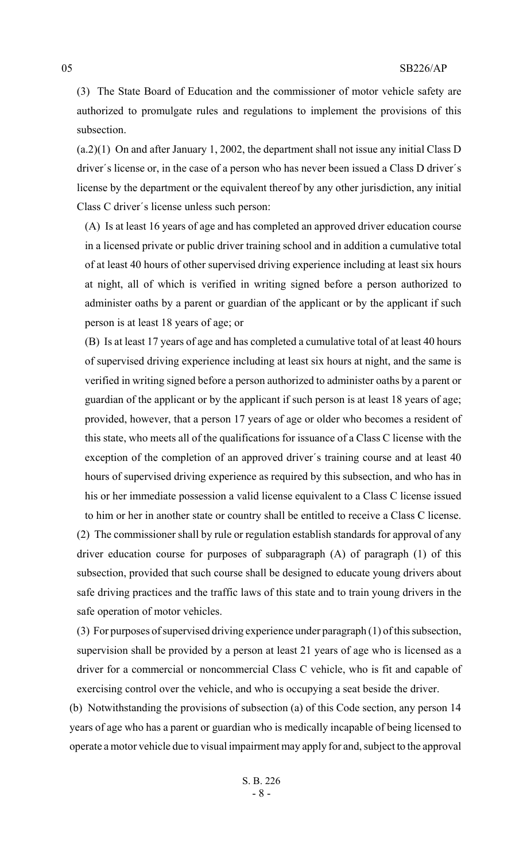(3) The State Board of Education and the commissioner of motor vehicle safety are authorized to promulgate rules and regulations to implement the provisions of this subsection.

(a.2)(1) On and after January 1, 2002, the department shall not issue any initial Class D driver's license or, in the case of a person who has never been issued a Class D driver's license by the department or the equivalent thereof by any other jurisdiction, any initial Class C driver's license unless such person:

(A) Is at least 16 years of age and has completed an approved driver education course in a licensed private or public driver training school and in addition a cumulative total of at least 40 hours of other supervised driving experience including at least six hours at night, all of which is verified in writing signed before a person authorized to administer oaths by a parent or guardian of the applicant or by the applicant if such person is at least 18 years of age; or

(B) Is at least 17 years of age and has completed a cumulative total of at least 40 hours of supervised driving experience including at least six hours at night, and the same is verified in writing signed before a person authorized to administer oaths by a parent or guardian of the applicant or by the applicant if such person is at least 18 years of age; provided, however, that a person 17 years of age or older who becomes a resident of this state, who meets all of the qualifications for issuance of a Class C license with the exception of the completion of an approved driver's training course and at least 40 hours of supervised driving experience as required by this subsection, and who has in his or her immediate possession a valid license equivalent to a Class C license issued to him or her in another state or country shall be entitled to receive a Class C license.

(2) The commissioner shall by rule or regulation establish standards for approval of any driver education course for purposes of subparagraph (A) of paragraph (1) of this subsection, provided that such course shall be designed to educate young drivers about safe driving practices and the traffic laws of this state and to train young drivers in the safe operation of motor vehicles.

(3) For purposes of supervised driving experience under paragraph (1) of this subsection, supervision shall be provided by a person at least 21 years of age who is licensed as a driver for a commercial or noncommercial Class C vehicle, who is fit and capable of exercising control over the vehicle, and who is occupying a seat beside the driver.

(b) Notwithstanding the provisions of subsection (a) of this Code section, any person 14 years of age who has a parent or guardian who is medically incapable of being licensed to operate a motor vehicle due to visual impairment may apply for and, subject to the approval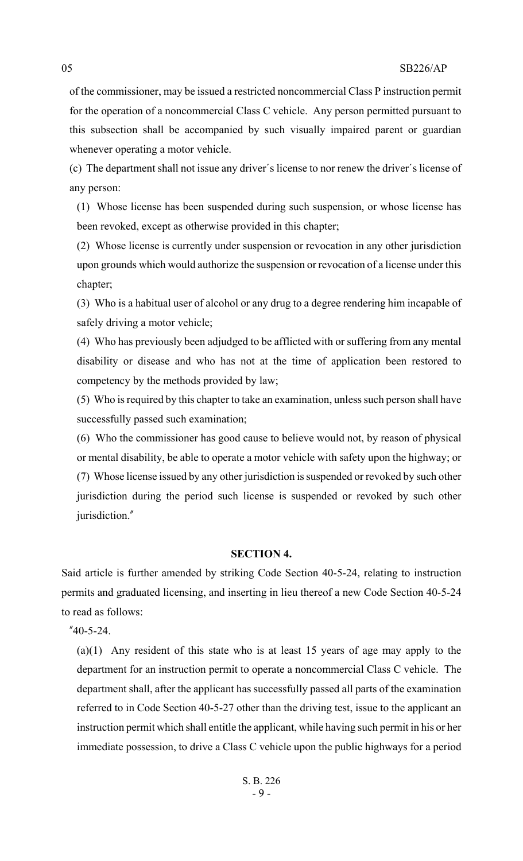of the commissioner, may be issued a restricted noncommercial Class P instruction permit for the operation of a noncommercial Class C vehicle. Any person permitted pursuant to this subsection shall be accompanied by such visually impaired parent or guardian whenever operating a motor vehicle.

(c) The department shall not issue any driver's license to nor renew the driver's license of any person:

(1) Whose license has been suspended during such suspension, or whose license has been revoked, except as otherwise provided in this chapter;

(2) Whose license is currently under suspension or revocation in any other jurisdiction upon grounds which would authorize the suspension or revocation of a license under this chapter;

(3) Who is a habitual user of alcohol or any drug to a degree rendering him incapable of safely driving a motor vehicle;

(4) Who has previously been adjudged to be afflicted with or suffering from any mental disability or disease and who has not at the time of application been restored to competency by the methods provided by law;

(5) Who is required by this chapter to take an examination, unless such person shall have successfully passed such examination;

(6) Who the commissioner has good cause to believe would not, by reason of physical or mental disability, be able to operate a motor vehicle with safety upon the highway; or (7) Whose license issued by any other jurisdiction is suspended or revoked by such other jurisdiction during the period such license is suspended or revoked by such other jurisdiction."

#### **SECTION 4.**

Said article is further amended by striking Code Section 40-5-24, relating to instruction permits and graduated licensing, and inserting in lieu thereof a new Code Section 40-5-24 to read as follows:

"40-5-24.

(a)(1) Any resident of this state who is at least 15 years of age may apply to the department for an instruction permit to operate a noncommercial Class C vehicle. The department shall, after the applicant has successfully passed all parts of the examination referred to in Code Section 40-5-27 other than the driving test, issue to the applicant an instruction permit which shall entitle the applicant, while having such permit in his or her immediate possession, to drive a Class C vehicle upon the public highways for a period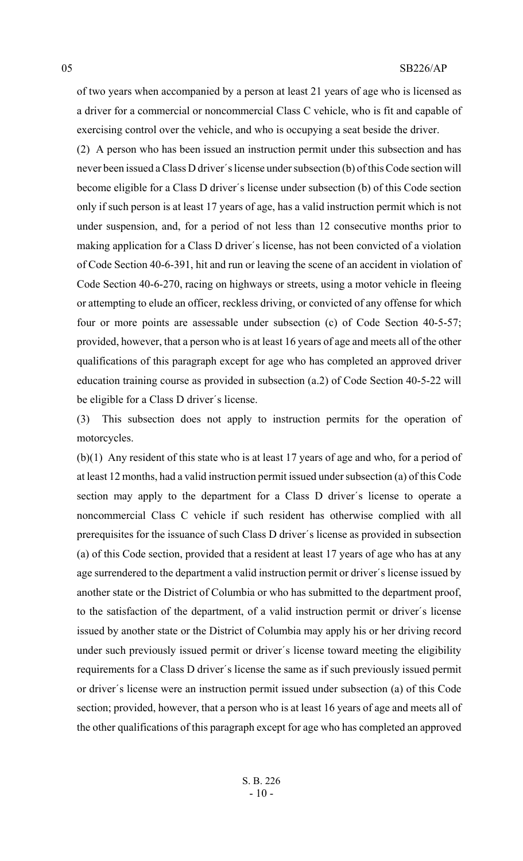of two years when accompanied by a person at least 21 years of age who is licensed as a driver for a commercial or noncommercial Class C vehicle, who is fit and capable of exercising control over the vehicle, and who is occupying a seat beside the driver.

(2) A person who has been issued an instruction permit under this subsection and has never been issued a Class D driver's license under subsection (b) of this Code section will become eligible for a Class D driver's license under subsection (b) of this Code section only if such person is at least 17 years of age, has a valid instruction permit which is not under suspension, and, for a period of not less than 12 consecutive months prior to making application for a Class D driver's license, has not been convicted of a violation of Code Section 40-6-391, hit and run or leaving the scene of an accident in violation of Code Section 40-6-270, racing on highways or streets, using a motor vehicle in fleeing or attempting to elude an officer, reckless driving, or convicted of any offense for which four or more points are assessable under subsection (c) of Code Section 40-5-57; provided, however, that a person who is at least 16 years of age and meets all of the other qualifications of this paragraph except for age who has completed an approved driver education training course as provided in subsection (a.2) of Code Section 40-5-22 will be eligible for a Class D driver's license.

(3) This subsection does not apply to instruction permits for the operation of motorcycles.

(b)(1) Any resident of this state who is at least 17 years of age and who, for a period of at least 12 months, had a valid instruction permit issued under subsection (a) of this Code section may apply to the department for a Class D driver's license to operate a noncommercial Class C vehicle if such resident has otherwise complied with all prerequisites for the issuance of such Class D driver's license as provided in subsection (a) of this Code section, provided that a resident at least 17 years of age who has at any age surrendered to the department a valid instruction permit or driver's license issued by another state or the District of Columbia or who has submitted to the department proof, to the satisfaction of the department, of a valid instruction permit or driver's license issued by another state or the District of Columbia may apply his or her driving record under such previously issued permit or driver's license toward meeting the eligibility requirements for a Class D driver's license the same as if such previously issued permit or driver's license were an instruction permit issued under subsection (a) of this Code section; provided, however, that a person who is at least 16 years of age and meets all of the other qualifications of this paragraph except for age who has completed an approved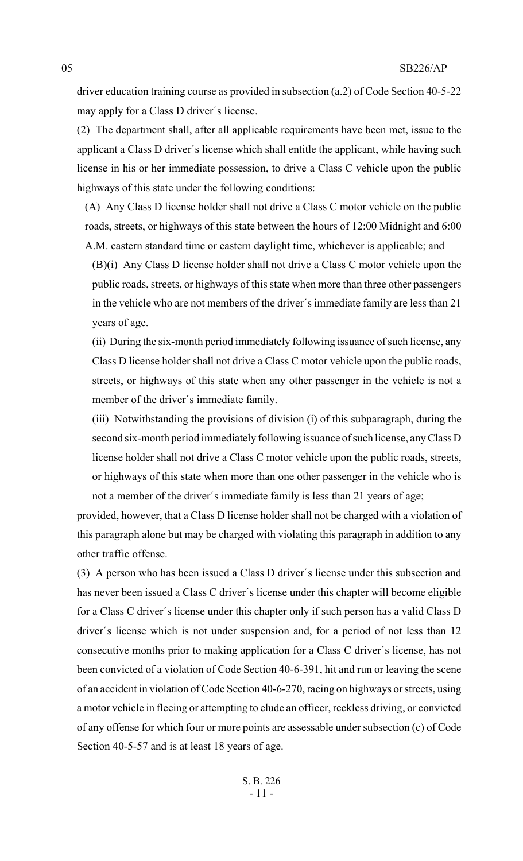driver education training course as provided in subsection (a.2) of Code Section 40-5-22 may apply for a Class D driver's license.

(2) The department shall, after all applicable requirements have been met, issue to the applicant a Class D driver's license which shall entitle the applicant, while having such license in his or her immediate possession, to drive a Class C vehicle upon the public highways of this state under the following conditions:

(A) Any Class D license holder shall not drive a Class C motor vehicle on the public roads, streets, or highways of this state between the hours of 12:00 Midnight and 6:00 A.M. eastern standard time or eastern daylight time, whichever is applicable; and

(B)(i) Any Class D license holder shall not drive a Class C motor vehicle upon the public roads, streets, or highways of this state when more than three other passengers in the vehicle who are not members of the driver's immediate family are less than 21 years of age.

(ii) During the six-month period immediately following issuance of such license, any Class D license holder shall not drive a Class C motor vehicle upon the public roads, streets, or highways of this state when any other passenger in the vehicle is not a member of the driver's immediate family.

(iii) Notwithstanding the provisions of division (i) of this subparagraph, during the second six-month period immediately following issuance of such license, any Class D license holder shall not drive a Class C motor vehicle upon the public roads, streets, or highways of this state when more than one other passenger in the vehicle who is not a member of the driver's immediate family is less than 21 years of age;

provided, however, that a Class D license holder shall not be charged with a violation of this paragraph alone but may be charged with violating this paragraph in addition to any other traffic offense.

(3) A person who has been issued a Class D driver's license under this subsection and has never been issued a Class C driver's license under this chapter will become eligible for a Class C driver's license under this chapter only if such person has a valid Class D driver's license which is not under suspension and, for a period of not less than 12 consecutive months prior to making application for a Class C driver's license, has not been convicted of a violation of Code Section 40-6-391, hit and run or leaving the scene of an accident in violation of Code Section 40-6-270, racing on highways or streets, using a motor vehicle in fleeing or attempting to elude an officer, reckless driving, or convicted of any offense for which four or more points are assessable under subsection (c) of Code Section 40-5-57 and is at least 18 years of age.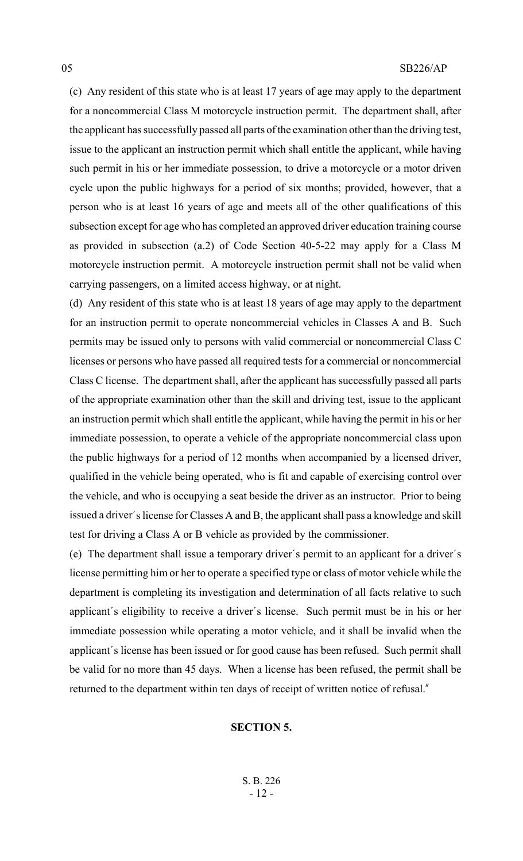(c) Any resident of this state who is at least 17 years of age may apply to the department for a noncommercial Class M motorcycle instruction permit. The department shall, after the applicant has successfully passed all parts of the examination other than the driving test, issue to the applicant an instruction permit which shall entitle the applicant, while having such permit in his or her immediate possession, to drive a motorcycle or a motor driven cycle upon the public highways for a period of six months; provided, however, that a person who is at least 16 years of age and meets all of the other qualifications of this subsection except for age who has completed an approved driver education training course as provided in subsection (a.2) of Code Section 40-5-22 may apply for a Class M motorcycle instruction permit. A motorcycle instruction permit shall not be valid when carrying passengers, on a limited access highway, or at night.

(d) Any resident of this state who is at least 18 years of age may apply to the department for an instruction permit to operate noncommercial vehicles in Classes A and B. Such permits may be issued only to persons with valid commercial or noncommercial Class C licenses or persons who have passed all required tests for a commercial or noncommercial Class C license. The department shall, after the applicant has successfully passed all parts of the appropriate examination other than the skill and driving test, issue to the applicant an instruction permit which shall entitle the applicant, while having the permit in his or her immediate possession, to operate a vehicle of the appropriate noncommercial class upon the public highways for a period of 12 months when accompanied by a licensed driver, qualified in the vehicle being operated, who is fit and capable of exercising control over the vehicle, and who is occupying a seat beside the driver as an instructor. Prior to being issued a driver's license for Classes A and B, the applicant shall pass a knowledge and skill test for driving a Class A or B vehicle as provided by the commissioner.

(e) The department shall issue a temporary driver's permit to an applicant for a driver's license permitting him or her to operate a specified type or class of motor vehicle while the department is completing its investigation and determination of all facts relative to such applicant's eligibility to receive a driver's license. Such permit must be in his or her immediate possession while operating a motor vehicle, and it shall be invalid when the applicant's license has been issued or for good cause has been refused. Such permit shall be valid for no more than 45 days. When a license has been refused, the permit shall be returned to the department within ten days of receipt of written notice of refusal."

# **SECTION 5.**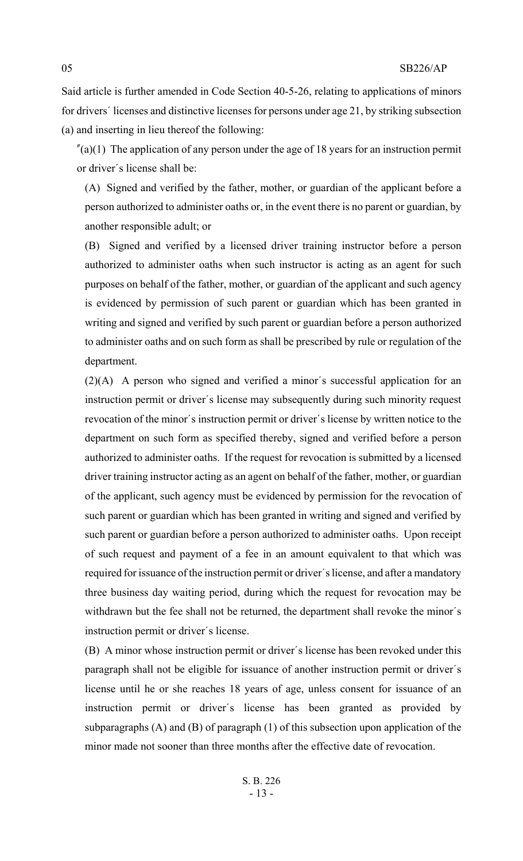Said article is further amended in Code Section 40-5-26, relating to applications of minors for drivers' licenses and distinctive licenses for persons under age 21, by striking subsection (a) and inserting in lieu thereof the following:

 $\ell$ (a)(1) The application of any person under the age of 18 years for an instruction permit or driver's license shall be:

(A) Signed and verified by the father, mother, or guardian of the applicant before a person authorized to administer oaths or, in the event there is no parent or guardian, by another responsible adult; or

(B) Signed and verified by a licensed driver training instructor before a person authorized to administer oaths when such instructor is acting as an agent for such purposes on behalf of the father, mother, or guardian of the applicant and such agency is evidenced by permission of such parent or guardian which has been granted in writing and signed and verified by such parent or guardian before a person authorized to administer oaths and on such form as shall be prescribed by rule or regulation of the department.

(2)(A) A person who signed and verified a minor's successful application for an instruction permit or driver's license may subsequently during such minority request revocation of the minor's instruction permit or driver's license by written notice to the department on such form as specified thereby, signed and verified before a person authorized to administer oaths. If the request for revocation is submitted by a licensed driver training instructor acting as an agent on behalf of the father, mother, or guardian of the applicant, such agency must be evidenced by permission for the revocation of such parent or guardian which has been granted in writing and signed and verified by such parent or guardian before a person authorized to administer oaths. Upon receipt of such request and payment of a fee in an amount equivalent to that which was required for issuance of the instruction permit or driver's license, and after a mandatory three business day waiting period, during which the request for revocation may be withdrawn but the fee shall not be returned, the department shall revoke the minor's instruction permit or driver's license.

(B) A minor whose instruction permit or driver's license has been revoked under this paragraph shall not be eligible for issuance of another instruction permit or driver's license until he or she reaches 18 years of age, unless consent for issuance of an instruction permit or driver's license has been granted as provided by subparagraphs (A) and (B) of paragraph (1) of this subsection upon application of the minor made not sooner than three months after the effective date of revocation.